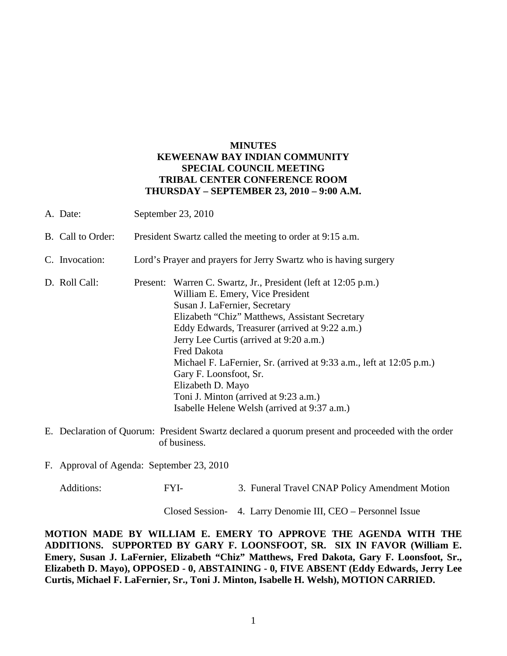### **MINUTES KEWEENAW BAY INDIAN COMMUNITY SPECIAL COUNCIL MEETING TRIBAL CENTER CONFERENCE ROOM THURSDAY – SEPTEMBER 23, 2010 – 9:00 A.M.**

- A. Date: September 23, 2010 B. Call to Order: President Swartz called the meeting to order at 9:15 a.m. C. Invocation: Lord's Prayer and prayers for Jerry Swartz who is having surgery D. Roll Call: Present: Warren C. Swartz, Jr., President (left at 12:05 p.m.) William E. Emery, Vice President Susan J. LaFernier, Secretary Elizabeth "Chiz" Matthews, Assistant Secretary Eddy Edwards, Treasurer (arrived at 9:22 a.m.) Jerry Lee Curtis (arrived at 9:20 a.m.) Fred Dakota Michael F. LaFernier, Sr. (arrived at 9:33 a.m., left at 12:05 p.m.) Gary F. Loonsfoot, Sr. Elizabeth D. Mayo Toni J. Minton (arrived at 9:23 a.m.) Isabelle Helene Welsh (arrived at 9:37 a.m.)
- E. Declaration of Quorum: President Swartz declared a quorum present and proceeded with the order of business.
- F. Approval of Agenda: September 23, 2010

Additions: FYI- 3. Funeral Travel CNAP Policy Amendment Motion

Closed Session- 4. Larry Denomie III, CEO – Personnel Issue

**MOTION MADE BY WILLIAM E. EMERY TO APPROVE THE AGENDA WITH THE ADDITIONS. SUPPORTED BY GARY F. LOONSFOOT, SR. SIX IN FAVOR (William E. Emery, Susan J. LaFernier, Elizabeth "Chiz" Matthews, Fred Dakota, Gary F. Loonsfoot, Sr., Elizabeth D. Mayo), OPPOSED - 0, ABSTAINING - 0, FIVE ABSENT (Eddy Edwards, Jerry Lee Curtis, Michael F. LaFernier, Sr., Toni J. Minton, Isabelle H. Welsh), MOTION CARRIED.**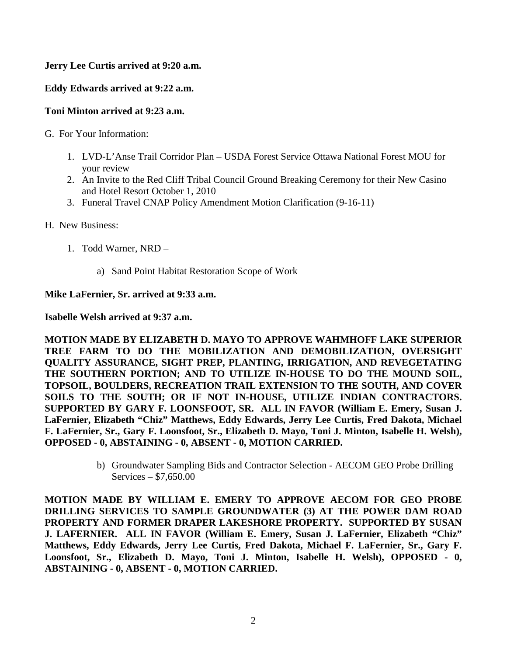# **Jerry Lee Curtis arrived at 9:20 a.m.**

# **Eddy Edwards arrived at 9:22 a.m.**

## **Toni Minton arrived at 9:23 a.m.**

- G. For Your Information:
	- 1. LVD-L'Anse Trail Corridor Plan USDA Forest Service Ottawa National Forest MOU for your review
	- 2. An Invite to the Red Cliff Tribal Council Ground Breaking Ceremony for their New Casino and Hotel Resort October 1, 2010
	- 3. Funeral Travel CNAP Policy Amendment Motion Clarification (9-16-11)
- H. New Business:
	- 1. Todd Warner, NRD
		- a) Sand Point Habitat Restoration Scope of Work

### **Mike LaFernier, Sr. arrived at 9:33 a.m.**

### **Isabelle Welsh arrived at 9:37 a.m.**

**MOTION MADE BY ELIZABETH D. MAYO TO APPROVE WAHMHOFF LAKE SUPERIOR TREE FARM TO DO THE MOBILIZATION AND DEMOBILIZATION, OVERSIGHT QUALITY ASSURANCE, SIGHT PREP, PLANTING, IRRIGATION, AND REVEGETATING THE SOUTHERN PORTION; AND TO UTILIZE IN-HOUSE TO DO THE MOUND SOIL, TOPSOIL, BOULDERS, RECREATION TRAIL EXTENSION TO THE SOUTH, AND COVER SOILS TO THE SOUTH; OR IF NOT IN-HOUSE, UTILIZE INDIAN CONTRACTORS. SUPPORTED BY GARY F. LOONSFOOT, SR. ALL IN FAVOR (William E. Emery, Susan J. LaFernier, Elizabeth "Chiz" Matthews, Eddy Edwards, Jerry Lee Curtis, Fred Dakota, Michael F. LaFernier, Sr., Gary F. Loonsfoot, Sr., Elizabeth D. Mayo, Toni J. Minton, Isabelle H. Welsh), OPPOSED - 0, ABSTAINING - 0, ABSENT - 0, MOTION CARRIED.**

> b) Groundwater Sampling Bids and Contractor Selection - AECOM GEO Probe Drilling Services – \$7,650.00

**MOTION MADE BY WILLIAM E. EMERY TO APPROVE AECOM FOR GEO PROBE DRILLING SERVICES TO SAMPLE GROUNDWATER (3) AT THE POWER DAM ROAD PROPERTY AND FORMER DRAPER LAKESHORE PROPERTY. SUPPORTED BY SUSAN J. LAFERNIER. ALL IN FAVOR (William E. Emery, Susan J. LaFernier, Elizabeth "Chiz" Matthews, Eddy Edwards, Jerry Lee Curtis, Fred Dakota, Michael F. LaFernier, Sr., Gary F. Loonsfoot, Sr., Elizabeth D. Mayo, Toni J. Minton, Isabelle H. Welsh), OPPOSED - 0, ABSTAINING - 0, ABSENT - 0, MOTION CARRIED.**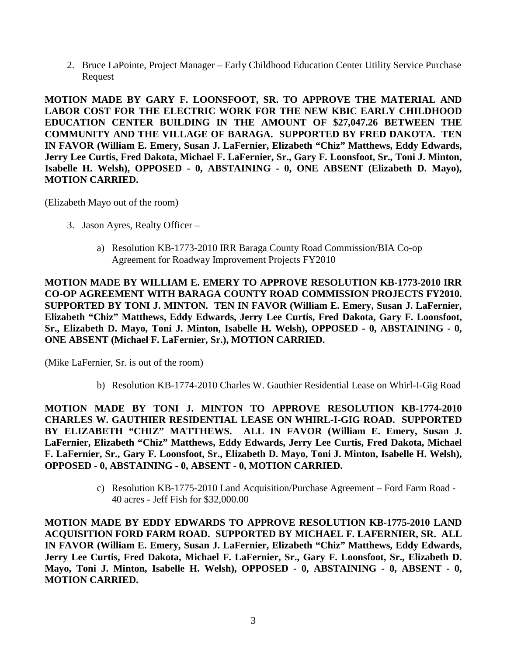2. Bruce LaPointe, Project Manager – Early Childhood Education Center Utility Service Purchase Request

**MOTION MADE BY GARY F. LOONSFOOT, SR. TO APPROVE THE MATERIAL AND LABOR COST FOR THE ELECTRIC WORK FOR THE NEW KBIC EARLY CHILDHOOD EDUCATION CENTER BUILDING IN THE AMOUNT OF \$27,047.26 BETWEEN THE COMMUNITY AND THE VILLAGE OF BARAGA. SUPPORTED BY FRED DAKOTA. TEN IN FAVOR (William E. Emery, Susan J. LaFernier, Elizabeth "Chiz" Matthews, Eddy Edwards, Jerry Lee Curtis, Fred Dakota, Michael F. LaFernier, Sr., Gary F. Loonsfoot, Sr., Toni J. Minton, Isabelle H. Welsh), OPPOSED - 0, ABSTAINING - 0, ONE ABSENT (Elizabeth D. Mayo), MOTION CARRIED.**

(Elizabeth Mayo out of the room)

- 3. Jason Ayres, Realty Officer
	- a) Resolution KB-1773-2010 IRR Baraga County Road Commission/BIA Co-op Agreement for Roadway Improvement Projects FY2010

**MOTION MADE BY WILLIAM E. EMERY TO APPROVE RESOLUTION KB-1773-2010 IRR CO-OP AGREEMENT WITH BARAGA COUNTY ROAD COMMISSION PROJECTS FY2010. SUPPORTED BY TONI J. MINTON. TEN IN FAVOR (William E. Emery, Susan J. LaFernier, Elizabeth "Chiz" Matthews, Eddy Edwards, Jerry Lee Curtis, Fred Dakota, Gary F. Loonsfoot, Sr., Elizabeth D. Mayo, Toni J. Minton, Isabelle H. Welsh), OPPOSED - 0, ABSTAINING - 0, ONE ABSENT (Michael F. LaFernier, Sr.), MOTION CARRIED.**

(Mike LaFernier, Sr. is out of the room)

b) Resolution KB-1774-2010 Charles W. Gauthier Residential Lease on Whirl-I-Gig Road

**MOTION MADE BY TONI J. MINTON TO APPROVE RESOLUTION KB-1774-2010 CHARLES W. GAUTHIER RESIDENTIAL LEASE ON WHIRL-I-GIG ROAD. SUPPORTED BY ELIZABETH "CHIZ" MATTHEWS. ALL IN FAVOR (William E. Emery, Susan J. LaFernier, Elizabeth "Chiz" Matthews, Eddy Edwards, Jerry Lee Curtis, Fred Dakota, Michael F. LaFernier, Sr., Gary F. Loonsfoot, Sr., Elizabeth D. Mayo, Toni J. Minton, Isabelle H. Welsh), OPPOSED - 0, ABSTAINING - 0, ABSENT - 0, MOTION CARRIED.**

> c) Resolution KB-1775-2010 Land Acquisition/Purchase Agreement – Ford Farm Road - 40 acres - Jeff Fish for \$32,000.00

**MOTION MADE BY EDDY EDWARDS TO APPROVE RESOLUTION KB-1775-2010 LAND ACQUISITION FORD FARM ROAD. SUPPORTED BY MICHAEL F. LAFERNIER, SR. ALL IN FAVOR (William E. Emery, Susan J. LaFernier, Elizabeth "Chiz" Matthews, Eddy Edwards, Jerry Lee Curtis, Fred Dakota, Michael F. LaFernier, Sr., Gary F. Loonsfoot, Sr., Elizabeth D. Mayo, Toni J. Minton, Isabelle H. Welsh), OPPOSED - 0, ABSTAINING - 0, ABSENT - 0, MOTION CARRIED.**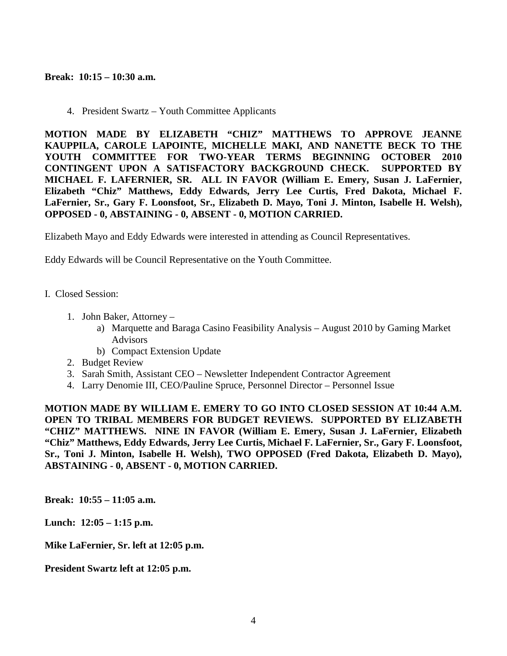### **Break: 10:15 – 10:30 a.m.**

4. President Swartz – Youth Committee Applicants

**MOTION MADE BY ELIZABETH "CHIZ" MATTHEWS TO APPROVE JEANNE KAUPPILA, CAROLE LAPOINTE, MICHELLE MAKI, AND NANETTE BECK TO THE YOUTH COMMITTEE FOR TWO-YEAR TERMS BEGINNING OCTOBER 2010 CONTINGENT UPON A SATISFACTORY BACKGROUND CHECK. SUPPORTED BY MICHAEL F. LAFERNIER, SR. ALL IN FAVOR (William E. Emery, Susan J. LaFernier, Elizabeth "Chiz" Matthews, Eddy Edwards, Jerry Lee Curtis, Fred Dakota, Michael F. LaFernier, Sr., Gary F. Loonsfoot, Sr., Elizabeth D. Mayo, Toni J. Minton, Isabelle H. Welsh), OPPOSED - 0, ABSTAINING - 0, ABSENT - 0, MOTION CARRIED.**

Elizabeth Mayo and Eddy Edwards were interested in attending as Council Representatives.

Eddy Edwards will be Council Representative on the Youth Committee.

- I. Closed Session:
	- 1. John Baker, Attorney
		- a) Marquette and Baraga Casino Feasibility Analysis August 2010 by Gaming Market Advisors
		- b) Compact Extension Update
	- 2. Budget Review
	- 3. Sarah Smith, Assistant CEO Newsletter Independent Contractor Agreement
	- 4. Larry Denomie III, CEO/Pauline Spruce, Personnel Director Personnel Issue

**MOTION MADE BY WILLIAM E. EMERY TO GO INTO CLOSED SESSION AT 10:44 A.M. OPEN TO TRIBAL MEMBERS FOR BUDGET REVIEWS. SUPPORTED BY ELIZABETH "CHIZ" MATTHEWS. NINE IN FAVOR (William E. Emery, Susan J. LaFernier, Elizabeth "Chiz" Matthews, Eddy Edwards, Jerry Lee Curtis, Michael F. LaFernier, Sr., Gary F. Loonsfoot, Sr., Toni J. Minton, Isabelle H. Welsh), TWO OPPOSED (Fred Dakota, Elizabeth D. Mayo), ABSTAINING - 0, ABSENT - 0, MOTION CARRIED.**

**Break: 10:55 – 11:05 a.m.** 

**Lunch: 12:05 – 1:15 p.m.** 

**Mike LaFernier, Sr. left at 12:05 p.m.** 

**President Swartz left at 12:05 p.m.**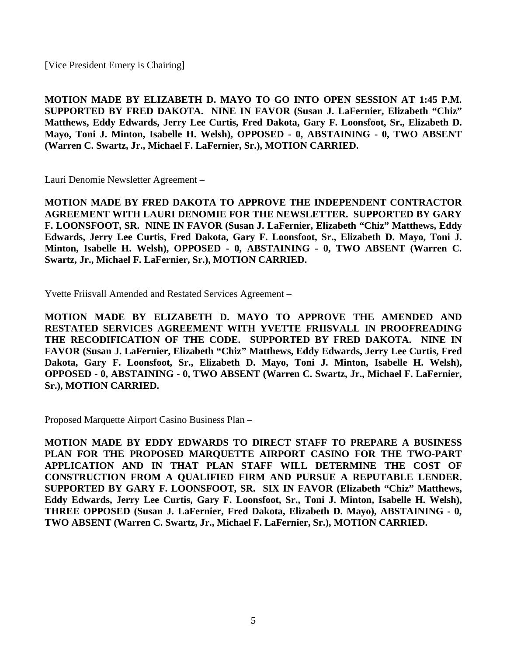[Vice President Emery is Chairing]

**MOTION MADE BY ELIZABETH D. MAYO TO GO INTO OPEN SESSION AT 1:45 P.M. SUPPORTED BY FRED DAKOTA. NINE IN FAVOR (Susan J. LaFernier, Elizabeth "Chiz" Matthews, Eddy Edwards, Jerry Lee Curtis, Fred Dakota, Gary F. Loonsfoot, Sr., Elizabeth D. Mayo, Toni J. Minton, Isabelle H. Welsh), OPPOSED - 0, ABSTAINING - 0, TWO ABSENT (Warren C. Swartz, Jr., Michael F. LaFernier, Sr.), MOTION CARRIED.**

Lauri Denomie Newsletter Agreement –

**MOTION MADE BY FRED DAKOTA TO APPROVE THE INDEPENDENT CONTRACTOR AGREEMENT WITH LAURI DENOMIE FOR THE NEWSLETTER. SUPPORTED BY GARY F. LOONSFOOT, SR. NINE IN FAVOR (Susan J. LaFernier, Elizabeth "Chiz" Matthews, Eddy Edwards, Jerry Lee Curtis, Fred Dakota, Gary F. Loonsfoot, Sr., Elizabeth D. Mayo, Toni J. Minton, Isabelle H. Welsh), OPPOSED - 0, ABSTAINING - 0, TWO ABSENT (Warren C. Swartz, Jr., Michael F. LaFernier, Sr.), MOTION CARRIED.**

Yvette Friisvall Amended and Restated Services Agreement –

**MOTION MADE BY ELIZABETH D. MAYO TO APPROVE THE AMENDED AND RESTATED SERVICES AGREEMENT WITH YVETTE FRIISVALL IN PROOFREADING THE RECODIFICATION OF THE CODE. SUPPORTED BY FRED DAKOTA. NINE IN FAVOR (Susan J. LaFernier, Elizabeth "Chiz" Matthews, Eddy Edwards, Jerry Lee Curtis, Fred Dakota, Gary F. Loonsfoot, Sr., Elizabeth D. Mayo, Toni J. Minton, Isabelle H. Welsh), OPPOSED - 0, ABSTAINING - 0, TWO ABSENT (Warren C. Swartz, Jr., Michael F. LaFernier, Sr.), MOTION CARRIED.**

Proposed Marquette Airport Casino Business Plan –

**MOTION MADE BY EDDY EDWARDS TO DIRECT STAFF TO PREPARE A BUSINESS PLAN FOR THE PROPOSED MARQUETTE AIRPORT CASINO FOR THE TWO-PART APPLICATION AND IN THAT PLAN STAFF WILL DETERMINE THE COST OF CONSTRUCTION FROM A QUALIFIED FIRM AND PURSUE A REPUTABLE LENDER. SUPPORTED BY GARY F. LOONSFOOT, SR. SIX IN FAVOR (Elizabeth "Chiz" Matthews, Eddy Edwards, Jerry Lee Curtis, Gary F. Loonsfoot, Sr., Toni J. Minton, Isabelle H. Welsh), THREE OPPOSED (Susan J. LaFernier, Fred Dakota, Elizabeth D. Mayo), ABSTAINING - 0, TWO ABSENT (Warren C. Swartz, Jr., Michael F. LaFernier, Sr.), MOTION CARRIED.**